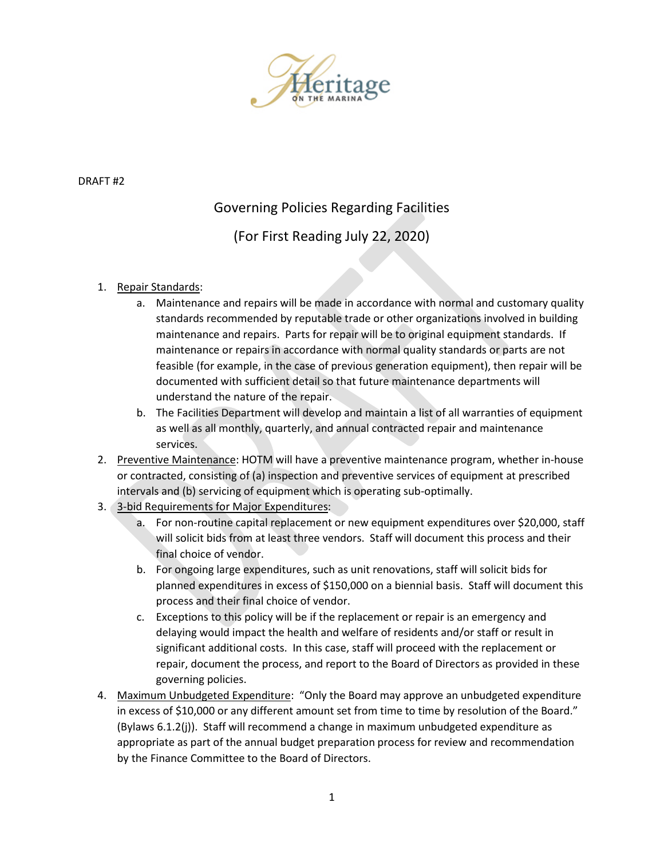

DRAFT #2

## Governing Policies Regarding Facilities

(For First Reading July 22, 2020)

## 1. Repair Standards:

- a. Maintenance and repairs will be made in accordance with normal and customary quality standards recommended by reputable trade or other organizations involved in building maintenance and repairs. Parts for repair will be to original equipment standards. If maintenance or repairs in accordance with normal quality standards or parts are not feasible (for example, in the case of previous generation equipment), then repair will be documented with sufficient detail so that future maintenance departments will understand the nature of the repair.
- b. The Facilities Department will develop and maintain a list of all warranties of equipment as well as all monthly, quarterly, and annual contracted repair and maintenance services.
- 2. Preventive Maintenance: HOTM will have a preventive maintenance program, whether in-house or contracted, consisting of (a) inspection and preventive services of equipment at prescribed intervals and (b) servicing of equipment which is operating sub-optimally.
- 3. 3-bid Requirements for Major Expenditures:
	- a. For non-routine capital replacement or new equipment expenditures over \$20,000, staff will solicit bids from at least three vendors. Staff will document this process and their final choice of vendor.
	- b. For ongoing large expenditures, such as unit renovations, staff will solicit bids for planned expenditures in excess of \$150,000 on a biennial basis. Staff will document this process and their final choice of vendor.
	- c. Exceptions to this policy will be if the replacement or repair is an emergency and delaying would impact the health and welfare of residents and/or staff or result in significant additional costs. In this case, staff will proceed with the replacement or repair, document the process, and report to the Board of Directors as provided in these governing policies.
- 4. Maximum Unbudgeted Expenditure: "Only the Board may approve an unbudgeted expenditure in excess of \$10,000 or any different amount set from time to time by resolution of the Board." (Bylaws 6.1.2(j)). Staff will recommend a change in maximum unbudgeted expenditure as appropriate as part of the annual budget preparation process for review and recommendation by the Finance Committee to the Board of Directors.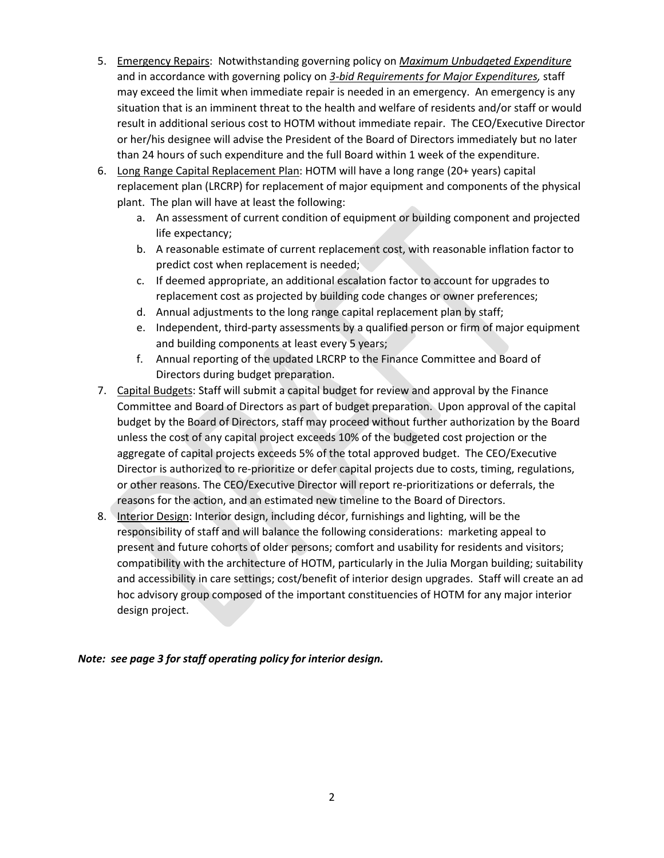- 5. Emergency Repairs: Notwithstanding governing policy on *Maximum Unbudgeted Expenditure* and in accordance with governing policy on *3-bid Requirements for Major Expenditures,* staff may exceed the limit when immediate repair is needed in an emergency. An emergency is any situation that is an imminent threat to the health and welfare of residents and/or staff or would result in additional serious cost to HOTM without immediate repair. The CEO/Executive Director or her/his designee will advise the President of the Board of Directors immediately but no later than 24 hours of such expenditure and the full Board within 1 week of the expenditure.
- 6. Long Range Capital Replacement Plan: HOTM will have a long range (20+ years) capital replacement plan (LRCRP) for replacement of major equipment and components of the physical plant. The plan will have at least the following:
	- a. An assessment of current condition of equipment or building component and projected life expectancy;
	- b. A reasonable estimate of current replacement cost, with reasonable inflation factor to predict cost when replacement is needed;
	- c. If deemed appropriate, an additional escalation factor to account for upgrades to replacement cost as projected by building code changes or owner preferences;
	- d. Annual adjustments to the long range capital replacement plan by staff;
	- e. Independent, third-party assessments by a qualified person or firm of major equipment and building components at least every 5 years;
	- f. Annual reporting of the updated LRCRP to the Finance Committee and Board of Directors during budget preparation.
- 7. Capital Budgets: Staff will submit a capital budget for review and approval by the Finance Committee and Board of Directors as part of budget preparation. Upon approval of the capital budget by the Board of Directors, staff may proceed without further authorization by the Board unless the cost of any capital project exceeds 10% of the budgeted cost projection or the aggregate of capital projects exceeds 5% of the total approved budget. The CEO/Executive Director is authorized to re-prioritize or defer capital projects due to costs, timing, regulations, or other reasons. The CEO/Executive Director will report re-prioritizations or deferrals, the reasons for the action, and an estimated new timeline to the Board of Directors.
- 8. Interior Design: Interior design, including décor, furnishings and lighting, will be the responsibility of staff and will balance the following considerations: marketing appeal to present and future cohorts of older persons; comfort and usability for residents and visitors; compatibility with the architecture of HOTM, particularly in the Julia Morgan building; suitability and accessibility in care settings; cost/benefit of interior design upgrades. Staff will create an ad hoc advisory group composed of the important constituencies of HOTM for any major interior design project.

*Note: see page 3 for staff operating policy for interior design.*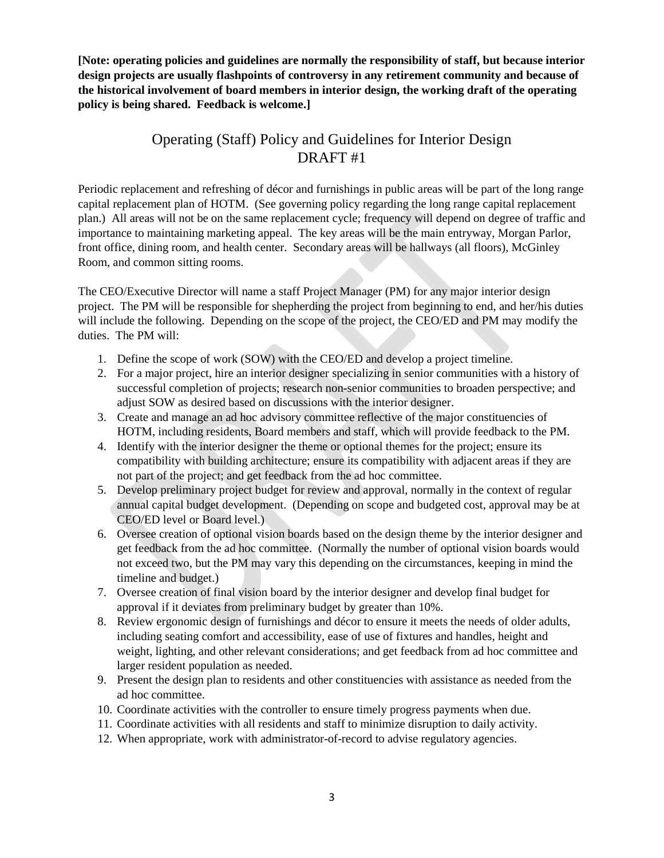**[Note: operating policies and guidelines are normally the responsibility of staff, but because interior design projects are usually flashpoints of controversy in any retirement community and because of the historical involvement of board members in interior design, the working draft of the operating policy is being shared. Feedback is welcome.]**

## Operating (Staff) Policy and Guidelines for Interior Design DRAFT #1

Periodic replacement and refreshing of décor and furnishings in public areas will be part of the long range capital replacement plan of HOTM. (See governing policy regarding the long range capital replacement plan.) All areas will not be on the same replacement cycle; frequency will depend on degree of traffic and importance to maintaining marketing appeal. The key areas will be the main entryway, Morgan Parlor, front office, dining room, and health center. Secondary areas will be hallways (all floors), McGinley Room, and common sitting rooms.

The CEO/Executive Director will name a staff Project Manager (PM) for any major interior design project. The PM will be responsible for shepherding the project from beginning to end, and her/his duties will include the following. Depending on the scope of the project, the CEO/ED and PM may modify the duties. The PM will:

- 1. Define the scope of work (SOW) with the CEO/ED and develop a project timeline.
- 2. For a major project, hire an interior designer specializing in senior communities with a history of successful completion of projects; research non-senior communities to broaden perspective; and adjust SOW as desired based on discussions with the interior designer.
- 3. Create and manage an ad hoc advisory committee reflective of the major constituencies of HOTM, including residents, Board members and staff, which will provide feedback to the PM.
- 4. Identify with the interior designer the theme or optional themes for the project; ensure its compatibility with building architecture; ensure its compatibility with adjacent areas if they are not part of the project; and get feedback from the ad hoc committee.
- 5. Develop preliminary project budget for review and approval, normally in the context of regular annual capital budget development. (Depending on scope and budgeted cost, approval may be at CEO/ED level or Board level.)
- 6. Oversee creation of optional vision boards based on the design theme by the interior designer and get feedback from the ad hoc committee. (Normally the number of optional vision boards would not exceed two, but the PM may vary this depending on the circumstances, keeping in mind the timeline and budget.)
- 7. Oversee creation of final vision board by the interior designer and develop final budget for approval if it deviates from preliminary budget by greater than 10%.
- 8. Review ergonomic design of furnishings and décor to ensure it meets the needs of older adults, including seating comfort and accessibility, ease of use of fixtures and handles, height and weight, lighting, and other relevant considerations; and get feedback from ad hoc committee and larger resident population as needed.
- 9. Present the design plan to residents and other constituencies with assistance as needed from the ad hoc committee.
- 10. Coordinate activities with the controller to ensure timely progress payments when due.
- 11. Coordinate activities with all residents and staff to minimize disruption to daily activity.
- 12. When appropriate, work with administrator-of-record to advise regulatory agencies.